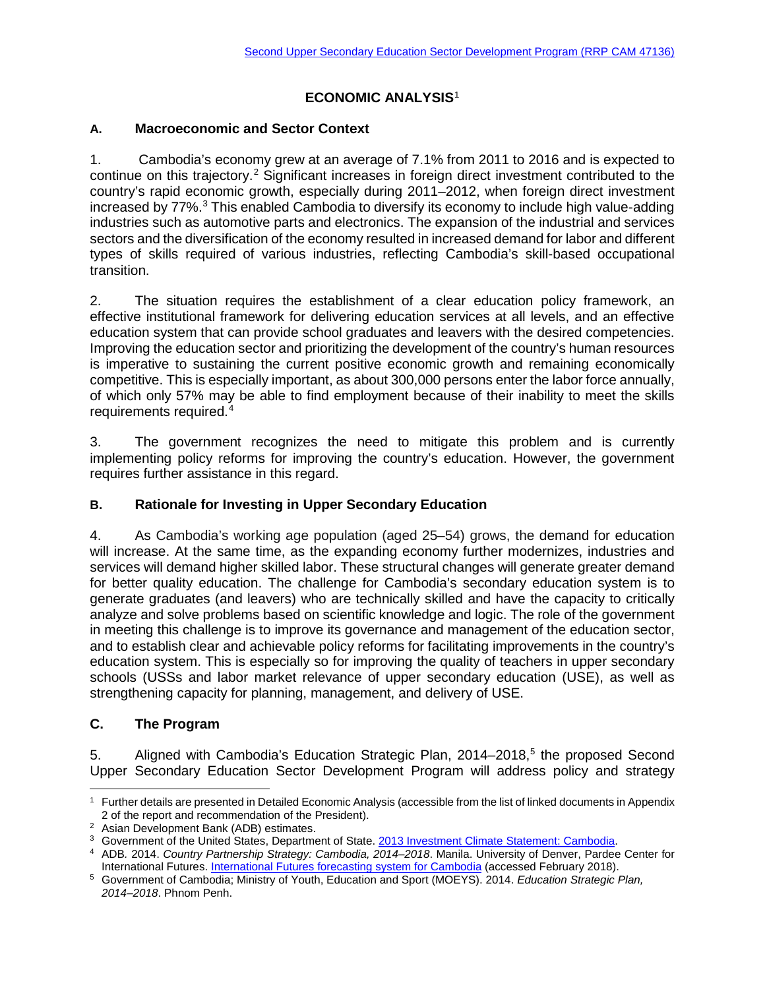# **ECONOMIC ANALYSIS**[1](#page-0-0)

### **A. Macroeconomic and Sector Context**

1. Cambodia's economy grew at an average of 7.1% from 2011 to 2016 and is expected to continue on this trajectory.<sup>[2](#page-0-1)</sup> Significant increases in foreign direct investment contributed to the country's rapid economic growth, especially during 2011–2012, when foreign direct investment increased by 77%[.3](#page-0-2) This enabled Cambodia to diversify its economy to include high value-adding industries such as automotive parts and electronics. The expansion of the industrial and services sectors and the diversification of the economy resulted in increased demand for labor and different types of skills required of various industries, reflecting Cambodia's skill-based occupational transition.

2. The situation requires the establishment of a clear education policy framework, an effective institutional framework for delivering education services at all levels, and an effective education system that can provide school graduates and leavers with the desired competencies. Improving the education sector and prioritizing the development of the country's human resources is imperative to sustaining the current positive economic growth and remaining economically competitive. This is especially important, as about 300,000 persons enter the labor force annually, of which only 57% may be able to find employment because of their inability to meet the skills requirements required.[4](#page-0-3)

3. The government recognizes the need to mitigate this problem and is currently implementing policy reforms for improving the country's education. However, the government requires further assistance in this regard.

## **B. Rationale for Investing in Upper Secondary Education**

4. As Cambodia's working age population (aged 25–54) grows, the demand for education will increase. At the same time, as the expanding economy further modernizes, industries and services will demand higher skilled labor. These structural changes will generate greater demand for better quality education. The challenge for Cambodia's secondary education system is to generate graduates (and leavers) who are technically skilled and have the capacity to critically analyze and solve problems based on scientific knowledge and logic. The role of the government in meeting this challenge is to improve its governance and management of the education sector, and to establish clear and achievable policy reforms for facilitating improvements in the country's education system. This is especially so for improving the quality of teachers in upper secondary schools (USSs and labor market relevance of upper secondary education (USE), as well as strengthening capacity for planning, management, and delivery of USE.

## **C. The Program**

5. Aligned with Cambodia's Education Strategic Plan, 2014–2018, [5](#page-0-4) the proposed Second Upper Secondary Education Sector Development Program will address policy and strategy

<span id="page-0-0"></span>l 1 Further details are presented in Detailed Economic Analysis (accessible from the list of linked documents in Appendix 2 of the report and recommendation of the President).

<span id="page-0-1"></span><sup>2</sup> Asian Development Bank (ADB) estimates.

<span id="page-0-2"></span><sup>3</sup> Government of the United States, Department of State. [2013 Investment Climate Statement: Cambodia.](http://www.state.gov/e/eb/rls/othr/ics/2013/204614.htm)

<span id="page-0-3"></span><sup>4</sup> ADB*.* 2014. *Country Partnership Strategy: Cambodia, 2014–2018*. Manila. University of Denver, Pardee Center for International Futures. [International Futures forecasting system for Cambodia](http://www.ifs.du.edu/ifs/frm_CountryProfile.aspx?Country=KH) (accessed February 2018).

<span id="page-0-4"></span><sup>5</sup> Government of Cambodia; Ministry of Youth, Education and Sport (MOEYS). 2014. *Education Strategic Plan, 2014–2018*. Phnom Penh.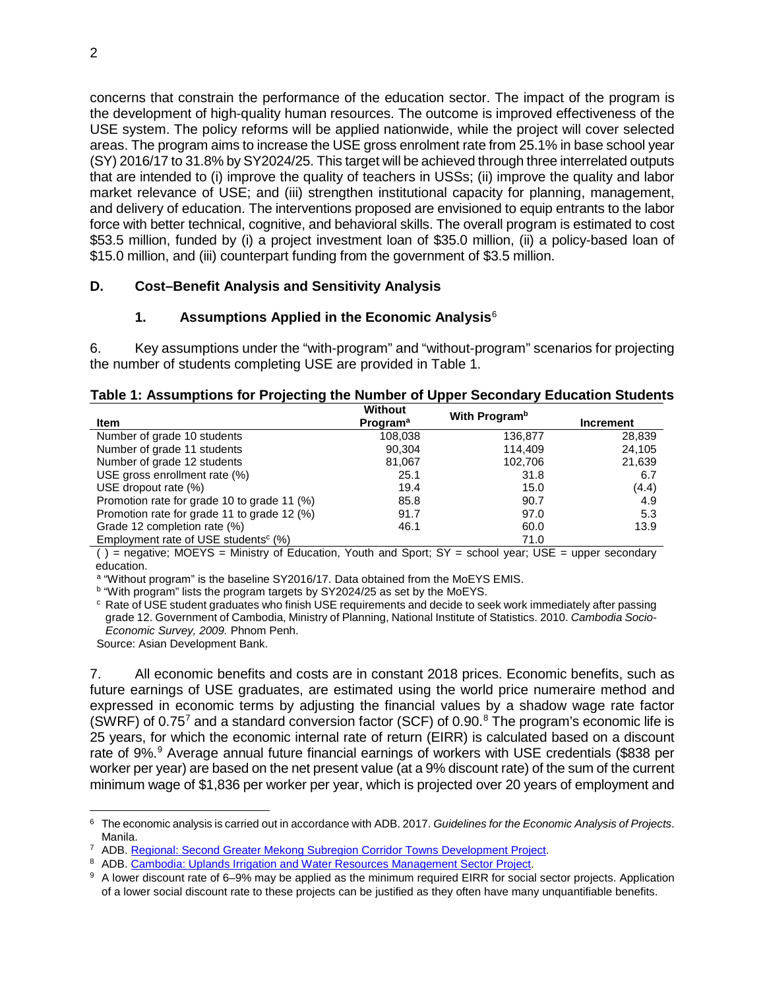concerns that constrain the performance of the education sector. The impact of the program is the development of high-quality human resources. The outcome is improved effectiveness of the USE system. The policy reforms will be applied nationwide, while the project will cover selected areas. The program aims to increase the USE gross enrolment rate from 25.1% in base school year (SY) 2016/17 to 31.8% by SY2024/25. This target will be achieved through three interrelated outputs that are intended to (i) improve the quality of teachers in USSs; (ii) improve the quality and labor market relevance of USE; and (iii) strengthen institutional capacity for planning, management, and delivery of education. The interventions proposed are envisioned to equip entrants to the labor force with better technical, cognitive, and behavioral skills. The overall program is estimated to cost \$53.5 million, funded by (i) a project investment loan of \$35.0 million, (ii) a policy-based loan of \$15.0 million, and (iii) counterpart funding from the government of \$3.5 million.

### **D. Cost–Benefit Analysis and Sensitivity Analysis**

#### **1. Assumptions Applied in the Economic Analysis**[6](#page-1-0)

6. Key assumptions under the "with-program" and "without-program" scenarios for projecting the number of students completing USE are provided in Table 1.

| Table 1: Assumptions for Projecting the Number of Upper Secondary Education Students |  |
|--------------------------------------------------------------------------------------|--|
|--------------------------------------------------------------------------------------|--|

| Item                                                | <b>Without</b><br><b>Program</b> <sup>a</sup> | With Program <sup>b</sup> | <b>Increment</b> |  |
|-----------------------------------------------------|-----------------------------------------------|---------------------------|------------------|--|
| Number of grade 10 students                         | 108,038                                       | 136,877                   | 28,839           |  |
| Number of grade 11 students                         | 90.304                                        | 114.409                   | 24,105           |  |
| Number of grade 12 students                         | 81,067                                        | 102,706                   | 21,639           |  |
| USE gross enrollment rate (%)                       | 25.1                                          | 31.8                      | 6.7              |  |
| USE dropout rate (%)                                | 19.4                                          | 15.0                      | (4.4)            |  |
| Promotion rate for grade 10 to grade 11 (%)         | 85.8                                          | 90.7                      | 4.9              |  |
| Promotion rate for grade 11 to grade 12 (%)         | 91.7                                          | 97.0                      | 5.3              |  |
| Grade 12 completion rate (%)                        | 46.1                                          | 60.0                      | 13.9             |  |
| Employment rate of USE students <sup>c</sup> $(\%)$ |                                               | 71.0                      |                  |  |

( ) = negative; MOEYS = Ministry of Education, Youth and Sport; SY = school year; USE = upper secondary education.

a "Without program" is the baseline SY2016/17. Data obtained from the MoEYS EMIS.

b "With program" lists the program targets by SY2024/25 as set by the MoEYS.

<sup>c</sup> Rate of USE student graduates who finish USE requirements and decide to seek work immediately after passing grade 12. Government of Cambodia, Ministry of Planning, National Institute of Statistics. 2010. *Cambodia Socio-Economic Survey, 2009.* Phnom Penh.

Source: Asian Development Bank.

7. All economic benefits and costs are in constant 2018 prices. Economic benefits, such as future earnings of USE graduates, are estimated using the world price numeraire method and expressed in economic terms by adjusting the financial values by a shadow wage rate factor (SWRF) of 0.[7](#page-1-1)5<sup>7</sup> and a standard conversion factor (SCF) of 0.90. $8$  The program's economic life is 25 years, for which the economic internal rate of return (EIRR) is calculated based on a discount rate of [9](#page-1-3)%.<sup>9</sup> Average annual future financial earnings of workers with USE credentials (\$838 per worker per year) are based on the net present value (at a 9% discount rate) of the sum of the current minimum wage of \$1,836 per worker per year, which is projected over 20 years of employment and

<span id="page-1-0"></span> $\overline{\phantom{a}}$ <sup>6</sup> The economic analysis is carried out in accordance with ADB. 2017. *Guidelines for the Economic Analysis of Projects*. Manila.

<span id="page-1-1"></span><sup>7</sup> ADB. [Regional: Second Greater Mekong Subregion Corridor Towns Development Project.](https://www.adb.org/projects/46443-001/main)

<span id="page-1-2"></span><sup>8</sup> ADB. [Cambodia: Uplands Irrigation and Water Resources Management Sector Project.](https://www.adb.org/projects/44328-013/main)

<span id="page-1-3"></span><sup>9</sup> A lower discount rate of 6–9% may be applied as the minimum required EIRR for social sector projects. Application of a lower social discount rate to these projects can be justified as they often have many unquantifiable benefits.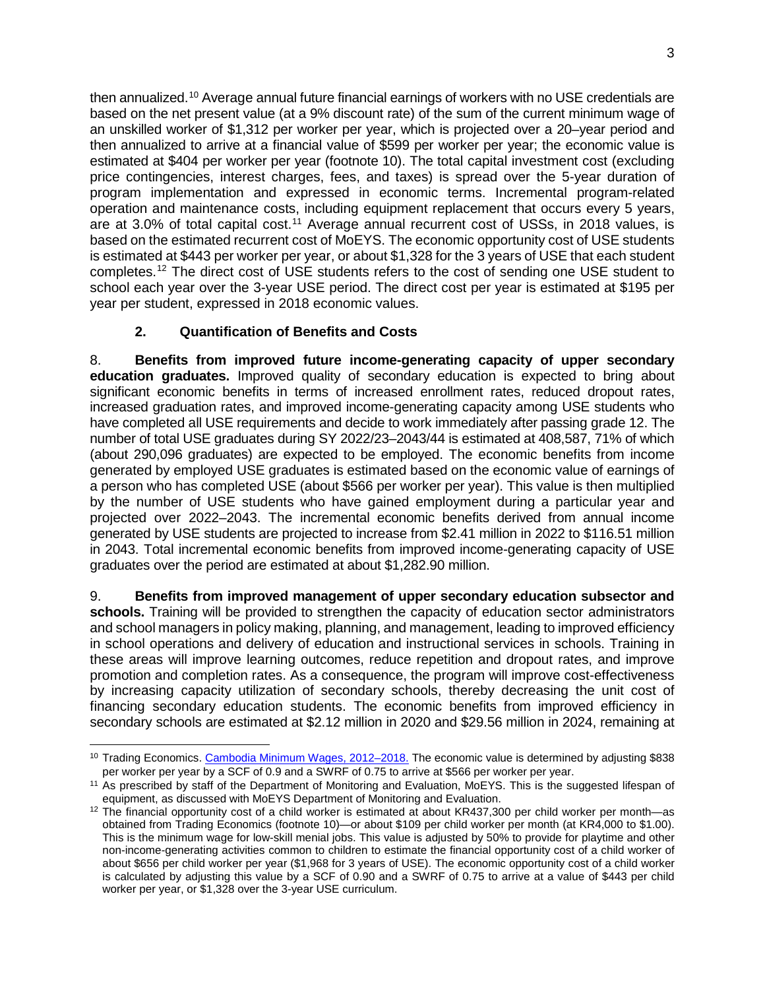then annualized.<sup>[10](#page-2-0)</sup> Average annual future financial earnings of workers with no USE credentials are based on the net present value (at a 9% discount rate) of the sum of the current minimum wage of an unskilled worker of \$1,312 per worker per year, which is projected over a 20–year period and then annualized to arrive at a financial value of \$599 per worker per year; the economic value is estimated at \$404 per worker per year (footnote 10). The total capital investment cost (excluding price contingencies, interest charges, fees, and taxes) is spread over the 5-year duration of program implementation and expressed in economic terms. Incremental program-related operation and maintenance costs, including equipment replacement that occurs every 5 years, are at 3.0% of total capital cost.<sup>[11](#page-2-1)</sup> Average annual recurrent cost of USSs, in 2018 values, is based on the estimated recurrent cost of MoEYS. The economic opportunity cost of USE students is estimated at \$443 per worker per year, or about \$1,328 for the 3 years of USE that each student completes. [12](#page-2-2) The direct cost of USE students refers to the cost of sending one USE student to school each year over the 3-year USE period. The direct cost per year is estimated at \$195 per year per student, expressed in 2018 economic values.

## **2. Quantification of Benefits and Costs**

 $\overline{\phantom{a}}$ 

8. **Benefits from improved future income-generating capacity of upper secondary education graduates.** Improved quality of secondary education is expected to bring about significant economic benefits in terms of increased enrollment rates, reduced dropout rates, increased graduation rates, and improved income-generating capacity among USE students who have completed all USE requirements and decide to work immediately after passing grade 12. The number of total USE graduates during SY 2022/23–2043/44 is estimated at 408,587, 71% of which (about 290,096 graduates) are expected to be employed. The economic benefits from income generated by employed USE graduates is estimated based on the economic value of earnings of a person who has completed USE (about \$566 per worker per year). This value is then multiplied by the number of USE students who have gained employment during a particular year and projected over 2022–2043. The incremental economic benefits derived from annual income generated by USE students are projected to increase from \$2.41 million in 2022 to \$116.51 million in 2043. Total incremental economic benefits from improved income-generating capacity of USE graduates over the period are estimated at about \$1,282.90 million.

9. **Benefits from improved management of upper secondary education subsector and schools.** Training will be provided to strengthen the capacity of education sector administrators and school managers in policy making, planning, and management, leading to improved efficiency in school operations and delivery of education and instructional services in schools. Training in these areas will improve learning outcomes, reduce repetition and dropout rates, and improve promotion and completion rates. As a consequence, the program will improve cost-effectiveness by increasing capacity utilization of secondary schools, thereby decreasing the unit cost of financing secondary education students. The economic benefits from improved efficiency in secondary schools are estimated at \$2.12 million in 2020 and \$29.56 million in 2024, remaining at

<span id="page-2-0"></span><sup>&</sup>lt;sup>10</sup> Trading Economics. [Cambodia Minimum Wages, 2012–2018.](https://tradingeconomics.com/cambodia/minimum-wages.) The economic value is determined by adjusting \$838 per worker per year by a SCF of 0.9 and a SWRF of 0.75 to arrive at \$566 per worker per year.

<span id="page-2-1"></span><sup>&</sup>lt;sup>11</sup> As prescribed by staff of the Department of Monitoring and Evaluation, MoEYS. This is the suggested lifespan of equipment, as discussed with MoEYS Department of Monitoring and Evaluation.

<span id="page-2-2"></span> $12$  The financial opportunity cost of a child worker is estimated at about KR437,300 per child worker per month—as obtained from Trading Economics (footnote 10)—or about \$109 per child worker per month (at KR4,000 to \$1.00). This is the minimum wage for low-skill menial jobs. This value is adjusted by 50% to provide for playtime and other non-income-generating activities common to children to estimate the financial opportunity cost of a child worker of about \$656 per child worker per year (\$1,968 for 3 years of USE). The economic opportunity cost of a child worker is calculated by adjusting this value by a SCF of 0.90 and a SWRF of 0.75 to arrive at a value of \$443 per child worker per year, or \$1,328 over the 3-year USE curriculum.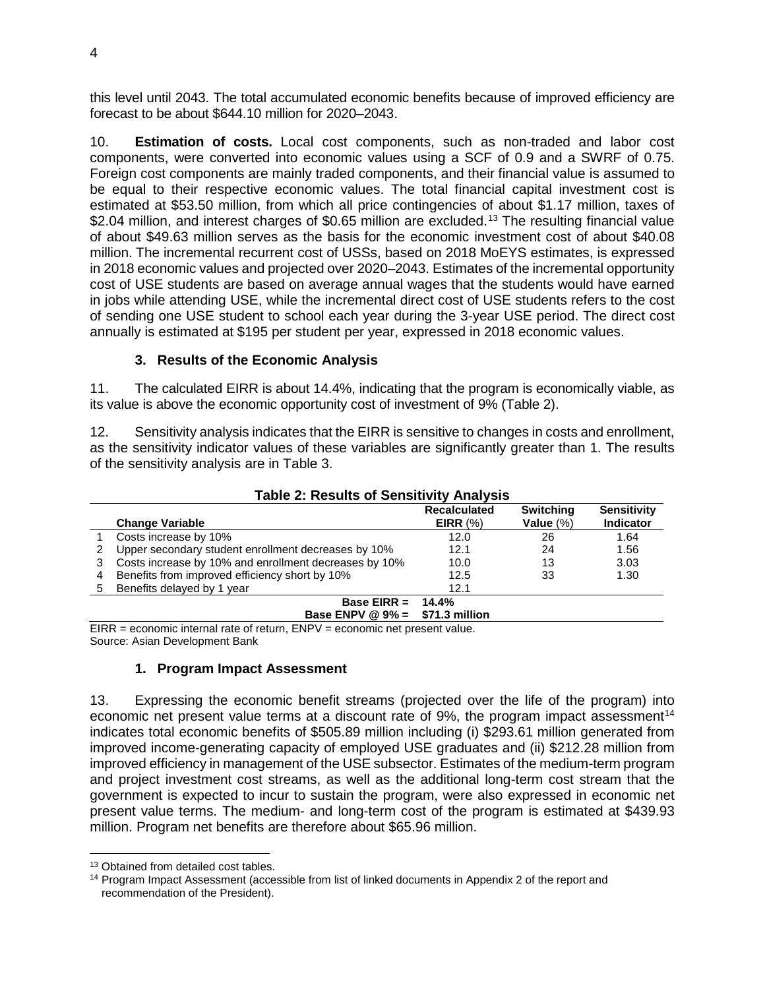this level until 2043. The total accumulated economic benefits because of improved efficiency are forecast to be about \$644.10 million for 2020–2043.

10. **Estimation of costs.** Local cost components, such as non-traded and labor cost components, were converted into economic values using a SCF of 0.9 and a SWRF of 0.75. Foreign cost components are mainly traded components, and their financial value is assumed to be equal to their respective economic values. The total financial capital investment cost is estimated at \$53.50 million, from which all price contingencies of about \$1.17 million, taxes of \$2.04 million, and interest charges of \$0.65 million are excluded.<sup>[13](#page-3-0)</sup> The resulting financial value of about \$49.63 million serves as the basis for the economic investment cost of about \$40.08 million. The incremental recurrent cost of USSs, based on 2018 MoEYS estimates, is expressed in 2018 economic values and projected over 2020–2043. Estimates of the incremental opportunity cost of USE students are based on average annual wages that the students would have earned in jobs while attending USE, while the incremental direct cost of USE students refers to the cost of sending one USE student to school each year during the 3-year USE period. The direct cost annually is estimated at \$195 per student per year, expressed in 2018 economic values.

### **3. Results of the Economic Analysis**

11. The calculated EIRR is about 14.4%, indicating that the program is economically viable, as its value is above the economic opportunity cost of investment of 9% (Table 2).

12. Sensitivity analysis indicates that the EIRR is sensitive to changes in costs and enrollment, as the sensitivity indicator values of these variables are significantly greater than 1. The results of the sensitivity analysis are in Table 3.

|   | Table 2: Results of Sensitivity Analysis              |                     |                  |                    |  |  |  |  |
|---|-------------------------------------------------------|---------------------|------------------|--------------------|--|--|--|--|
|   |                                                       | <b>Recalculated</b> | <b>Switching</b> | <b>Sensitivity</b> |  |  |  |  |
|   | <b>Change Variable</b>                                | EIRR $(%)$          | Value $(\%)$     | <b>Indicator</b>   |  |  |  |  |
|   | Costs increase by 10%                                 | 12.0                | 26               | 1.64               |  |  |  |  |
|   | Upper secondary student enrollment decreases by 10%   | 12.1                | 24               | 1.56               |  |  |  |  |
| 3 | Costs increase by 10% and enrollment decreases by 10% | 10.0                | 13               | 3.03               |  |  |  |  |
| 4 | Benefits from improved efficiency short by 10%        | 12.5                | 33               | 1.30               |  |  |  |  |
| 5 | Benefits delayed by 1 year                            | 12.1                |                  |                    |  |  |  |  |
|   | Base EIRR $=$                                         | 14.4%               |                  |                    |  |  |  |  |
|   | Base ENPV @ $9\% =$ \$71.3 million                    |                     |                  |                    |  |  |  |  |

**Table 2: Results of Sensitivity Analysis**

 $EIR =$  economic internal rate of return,  $ENPV =$  economic net present value. Source: Asian Development Bank

### **1. Program Impact Assessment**

13. Expressing the economic benefit streams (projected over the life of the program) into economic net present value terms at a discount rate of 9%, the program impact assessment<sup>[14](#page-3-1)</sup> indicates total economic benefits of \$505.89 million including (i) \$293.61 million generated from improved income-generating capacity of employed USE graduates and (ii) \$212.28 million from improved efficiency in management of the USE subsector. Estimates of the medium-term program and project investment cost streams, as well as the additional long-term cost stream that the government is expected to incur to sustain the program, were also expressed in economic net present value terms. The medium- and long-term cost of the program is estimated at \$439.93 million. Program net benefits are therefore about \$65.96 million.

l

<span id="page-3-1"></span><span id="page-3-0"></span><sup>&</sup>lt;sup>13</sup> Obtained from detailed cost tables.<br><sup>14</sup> Program Impact Assessment (accessible from list of linked documents in Appendix 2 of the report and recommendation of the President).